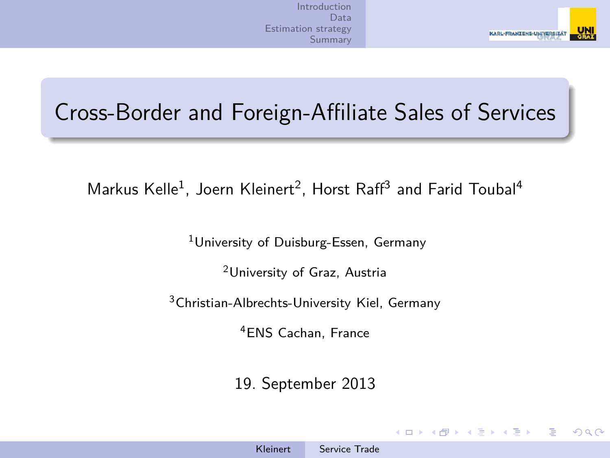

### Cross-Border and Foreign-Affiliate Sales of Services

Markus Kelle<sup>1</sup>, Joern Kleinert<sup>2</sup>, Horst Raff<sup>3</sup> and Farid Toubal<sup>4</sup>

<sup>1</sup>University of Duisburg-Essen, Germany

<sup>2</sup>University of Graz, Austria

<sup>3</sup>Christian-Albrechts-University Kiel, Germany

<sup>4</sup>ENS Cachan, France

19. September 2013

 $1.7.147 \times 10^{-11}$ 

<span id="page-0-0"></span>**EX**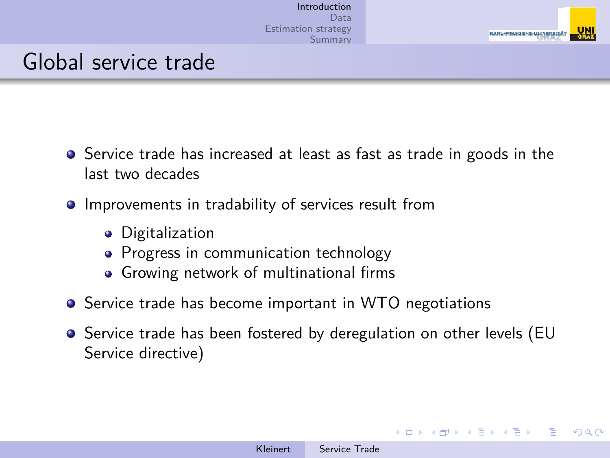

#### Global service trade

- **•** Service trade has increased at least as fast as trade in goods in the last two decades
- **•** Improvements in tradability of services result from
	- **•** Digitalization
	- Progress in communication technology
	- Growing network of multinational firms
- **•** Service trade has become important in WTO negotiations
- Service trade has been fostered by deregulation on other levels (EU Service directive)

<span id="page-1-0"></span>**≮ロト ⊀何 ▶ ⊀ ヨ ▶ ∢ ヨ ▶** .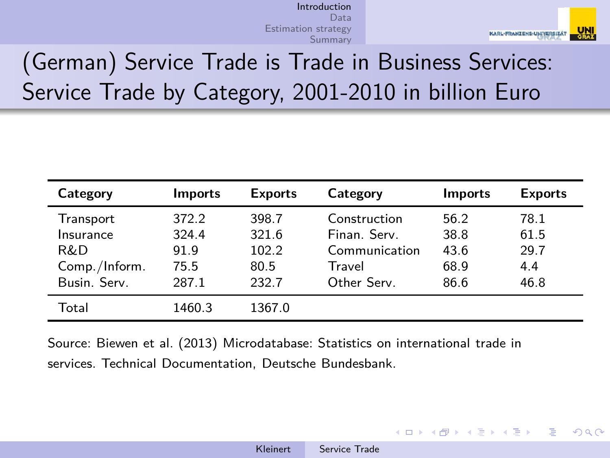

 $\Omega$ 

# (German) Service Trade is Trade in Business Services: Service Trade by Category, 2001-2010 in billion Euro

| Category      | <b>Imports</b> | <b>Exports</b> | Category      | <b>Imports</b> | <b>Exports</b> |
|---------------|----------------|----------------|---------------|----------------|----------------|
| Transport     | 372.2          | 398.7          | Construction  | 56.2           | 78.1           |
| Insurance     | 324.4          | 321.6          | Finan Serv    | 38.8           | 61.5           |
| R&D           | 91.9           | 102.2          | Communication | 43.6           | 29.7           |
| Comp./Inform. | 75.5           | 80.5           | Travel        | 68.9           | 4.4            |
| Busin, Serv.  | 287.1          | 232.7          | Other Serv.   | 86.6           | 46.8           |
| Total         | 1460.3         | 1367.0         |               |                |                |

Source: Biewen et al. (2013) Microdatabase: Statistics on international trade in services. Technical Documentation, Deutsche Bundesbank.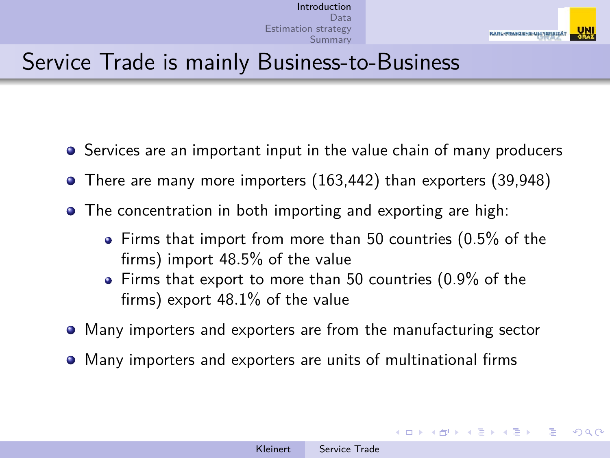

### Service Trade is mainly Business-to-Business

- **•** Services are an important input in the value chain of many producers
- There are many more importers (163,442) than exporters (39,948)
- The concentration in both importing and exporting are high:
	- Firms that import from more than 50 countries (0.5% of the firms) import 48*.*5% of the value
	- Firms that export to more than 50 countries (0.9% of the firms) export 48*.*1% of the value
- Many importers and exporters are from the manufacturing sector
- Many importers and exporters are units of multinational firms

イロメ イ何メ イヨメ イヨメ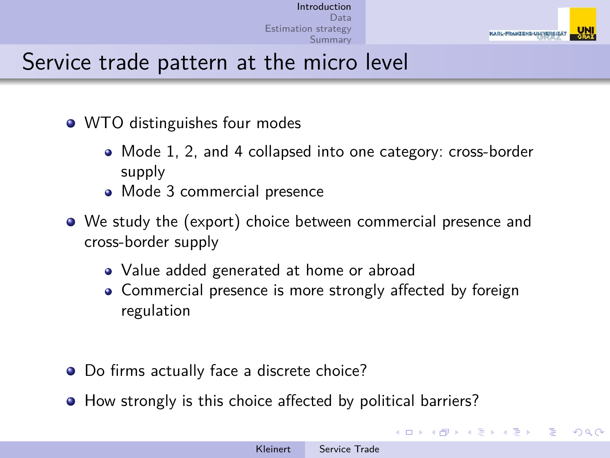

### Service trade pattern at the micro level

- WTO distinguishes four modes
	- Mode 1, 2, and 4 collapsed into one category: cross-border supply
	- Mode 3 commercial presence
- We study the (export) choice between commercial presence and cross-border supply
	- Value added generated at home or abroad
	- Commercial presence is more strongly affected by foreign regulation
- Do firms actually face a discrete choice?
- How strongly is this choice affected by political barriers?

**≮ロト ⊀何 ▶ ⊀ ヨ ▶ ∢ ヨ ▶** .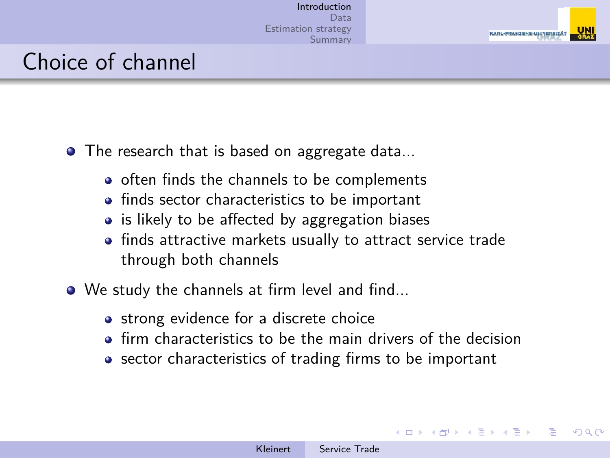

 $\Omega$ 

#### Choice of channel

- The research that is based on aggregate data...
	- often finds the channels to be complements
	- finds sector characteristics to be important
	- is likely to be affected by aggregation biases
	- finds attractive markets usually to attract service trade through both channels
- We study the channels at firm level and find...
	- strong evidence for a discrete choice
	- **•** firm characteristics to be the main drivers of the decision
	- sector characteristics of trading firms to be important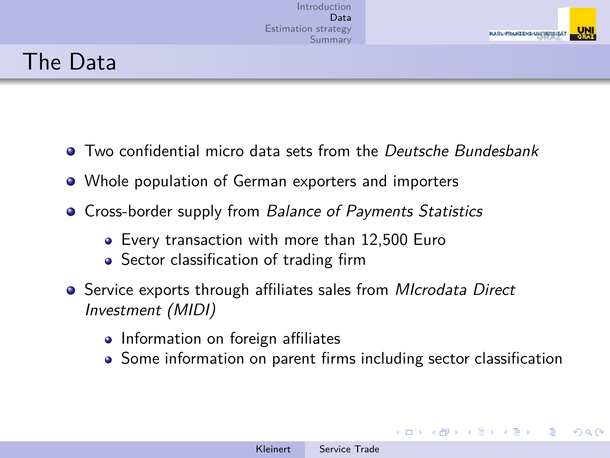

## The Data

- Two confidential micro data sets from the Deutsche Bundesbank
- Whole population of German exporters and importers
- **Cross-border supply from Balance of Payments Statistics** 
	- Every transaction with more than 12,500 Euro
	- Sector classification of trading firm
- **•** Service exports through affiliates sales from *MIcrodata Direct* Investment (MIDI)
	- Information on foreign affiliates
	- Some information on parent firms including sector classification

<span id="page-6-0"></span>∢ ロ ▶ ( 何 ) ( ミ ) ( ミ ) 。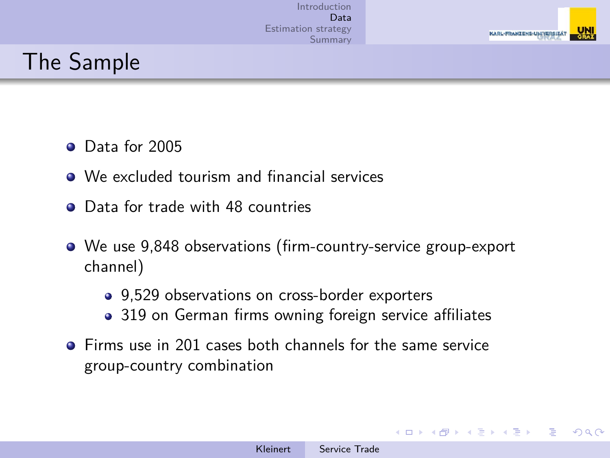

## The Sample

- **O** Data for 2005
- We excluded tourism and financial services
- Data for trade with 48 countries
- We use 9,848 observations (firm-country-service group-export channel)
	- 9,529 observations on cross-border exporters
	- 319 on German firms owning foreign service affiliates
- **•** Firms use in 201 cases both channels for the same service group-country combination

 $\leftarrow$   $\Box$   $\rightarrow$   $\leftarrow$   $\leftarrow$   $\Box$   $\rightarrow$   $\rightarrow$   $\leftarrow$   $\equiv$ 

医尿囊的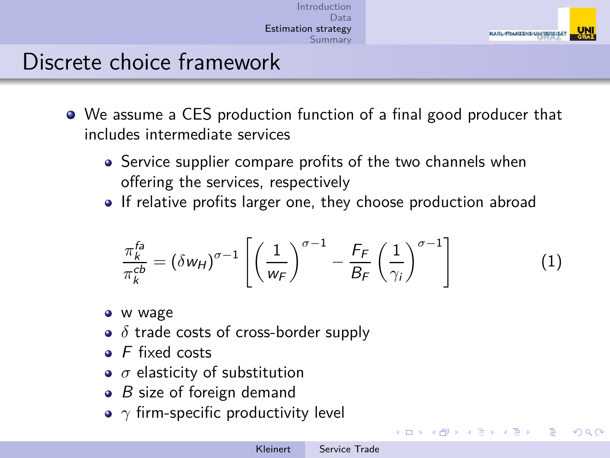

ミメスミメー

<span id="page-8-0"></span> $209$ 

### Discrete choice framework

- We assume a CES production function of a final good producer that includes intermediate services
	- Service supplier compare profits of the two channels when offering the services, respectively
	- If relative profits larger one, they choose production abroad

$$
\frac{\pi_k^{fa}}{\pi_k^{cb}} = (\delta w_H)^{\sigma - 1} \left[ \left( \frac{1}{w_F} \right)^{\sigma - 1} - \frac{F_F}{B_F} \left( \frac{1}{\gamma_i} \right)^{\sigma - 1} \right]
$$
(1)

- w wage
- *δ* trade costs of cross-border supply
- $\bullet$  F fixed costs
- *σ* elasticity of substitution
- $\bullet$  B size of foreign demand
- *γ* firm-specific productivity level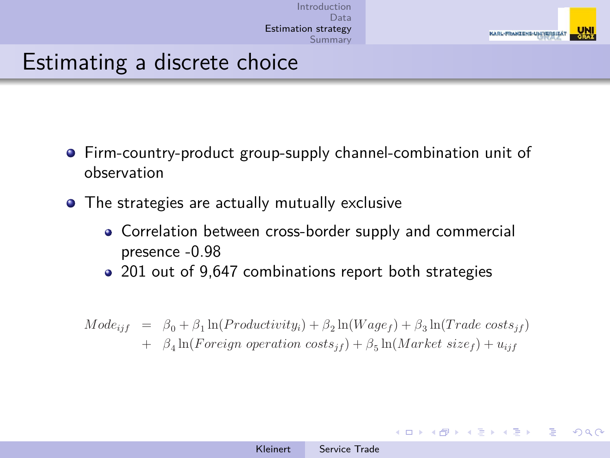

### Estimating a discrete choice

- Firm-country-product group-supply channel-combination unit of observation
- The strategies are actually mutually exclusive
	- Correlation between cross-border supply and commercial presence -0.98
	- 201 out of 9,647 combinations report both strategies

$$
Mode_{ijf} = \beta_0 + \beta_1 \ln(Productivity_i) + \beta_2 \ln(Wage_f) + \beta_3 \ln(Trade \ costs_{jf}) + \beta_4 \ln(Foreign \ costs_{jf}) + \beta_5 \ln(Marker \ size_f) + u_{ijf}
$$

 $1.7.1471$ 

ミメメミメー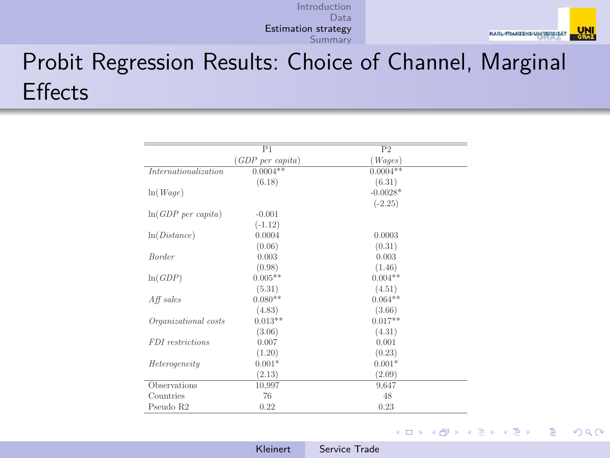

# Probit Regression Results: Choice of Channel, Marginal **Effects**

|                                | P1                          | P <sub>2</sub> |
|--------------------------------|-----------------------------|----------------|
|                                | (GDP <sub>per</sub> capita) | Wages)         |
| Internationalization           | $0.0004**$                  | $0.0004**$     |
|                                | (6.18)                      | (6.31)         |
| ln(Wage)                       |                             | $-0.0028*$     |
|                                |                             | $(-2.25)$      |
| $ln(GDP \text{ per } capital)$ | $-0.001$                    |                |
|                                | $(-1.12)$                   |                |
| ln(Distance)                   | 0.0004                      | 0.0003         |
|                                | (0.06)                      | (0.31)         |
| <b>Border</b>                  | 0.003                       | 0.003          |
|                                | (0.98)                      | (1.46)         |
| ln(GDP)                        | $0.005**$                   | $0.004**$      |
|                                | (5.31)                      | (4.51)         |
| $Aff$ sales                    | $0.080**$                   | $0.064**$      |
|                                | (4.83)                      | (3.66)         |
| Organizational costs           | $0.013**$                   | $0.017**$      |
|                                | (3.06)                      | (4.31)         |
| FDI restrictions               | 0.007                       | 0.001          |
|                                | (1.20)                      | (0.23)         |
| Heterogeneity                  | $0.001*$                    | $0.001*$       |
|                                | (2.13)                      | (2.09)         |
| Observations                   | 10,997                      | 9,647          |
| Countries                      | 76                          | 48             |
| Pseudo R2                      | 0.22                        | 0.23           |

メロメ メ御 メメ きょく ミメー  $QQ$ Ε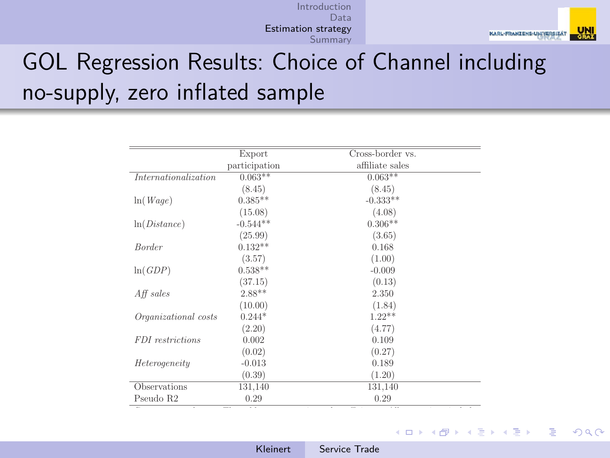

## GOL Regression Results: Choice of Channel including no-supply, zero inflated sample

|                      | Export        | Cross-border vs. |  |
|----------------------|---------------|------------------|--|
|                      | participation | affiliate sales  |  |
| Internationalization | $0.063**$     | $0.063**$        |  |
|                      | (8.45)        | (8.45)           |  |
| ln(Wage)             | $0.385**$     | $-0.333**$       |  |
|                      | (15.08)       | (4.08)           |  |
| ln(Distance)         | $-0.544**$    | $0.306**$        |  |
|                      | (25.99)       | (3.65)           |  |
| Border               | $0.132**$     | 0.168            |  |
|                      | (3.57)        | (1.00)           |  |
| ln(GDP)              | $0.538**$     | $-0.009$         |  |
|                      | (37.15)       | (0.13)           |  |
| $Aff$ sales          | $2.88**$      | 2.350            |  |
|                      | (10.00)       | (1.84)           |  |
| Organizational costs | $0.244*$      | $1.22**$         |  |
|                      | (2.20)        | (4.77)           |  |
| FDI restrictions     | 0.002         | 0.109            |  |
|                      | (0.02)        | (0.27)           |  |
| Heterogeneity        | $-0.013$      | 0.189            |  |
|                      | (0.39)        | (1.20)           |  |
| Observations         | 131,140       | 131,140          |  |
| Pseudo R2            | 0.29          | 0.29             |  |

メロメメ 倒 メメ きょくきょう  $\Omega$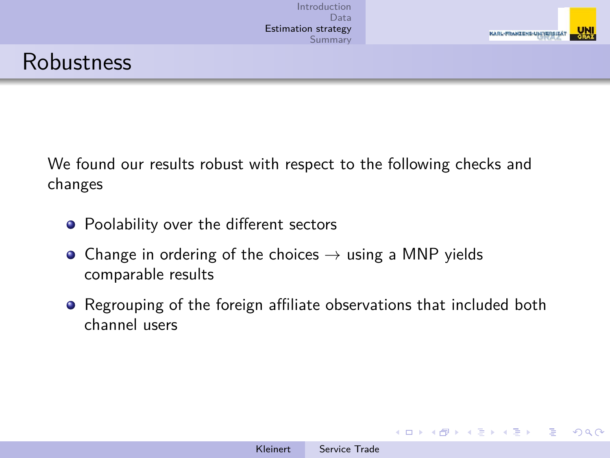

#### Robustness

We found our results robust with respect to the following checks and changes

- Poolability over the different sectors
- Change in ordering of the choices  $\rightarrow$  using a MNP yields comparable results
- Regrouping of the foreign affiliate observations that included both channel users

イロト イ何 ト イヨ ト イヨ トー